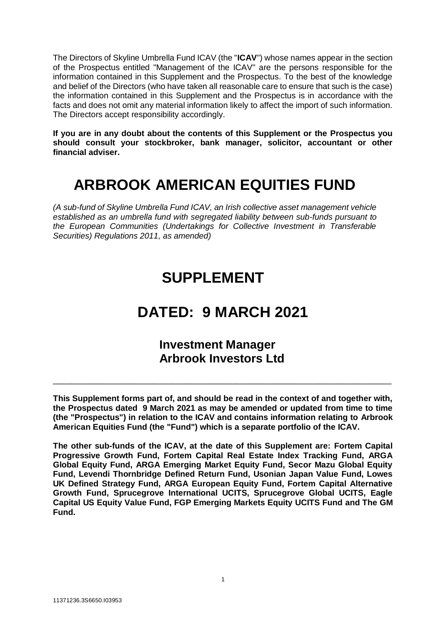The Directors of Skyline Umbrella Fund ICAV (the "**ICAV**") whose names appear in the section of the Prospectus entitled "Management of the ICAV" are the persons responsible for the information contained in this Supplement and the Prospectus. To the best of the knowledge and belief of the Directors (who have taken all reasonable care to ensure that such is the case) the information contained in this Supplement and the Prospectus is in accordance with the facts and does not omit any material information likely to affect the import of such information. The Directors accept responsibility accordingly.

**If you are in any doubt about the contents of this Supplement or the Prospectus you should consult your stockbroker, bank manager, solicitor, accountant or other financial adviser.**

# **ARBROOK AMERICAN EQUITIES FUND**

*(A sub-fund of Skyline Umbrella Fund ICAV, an Irish collective asset management vehicle established as an umbrella fund with segregated liability between sub-funds pursuant to the European Communities (Undertakings for Collective Investment in Transferable Securities) Regulations 2011, as amended)*

# **SUPPLEMENT**

# **DATED: 9 MARCH 2021**

# **Investment Manager Arbrook Investors Ltd**

\_\_\_\_\_\_\_\_\_\_\_\_\_\_\_\_\_\_\_\_\_\_\_\_\_\_\_\_\_\_\_\_\_\_\_\_\_\_\_\_\_\_\_\_\_\_\_\_\_\_\_\_\_\_\_\_\_\_\_\_\_\_\_\_\_\_\_\_\_\_\_\_\_\_

**This Supplement forms part of, and should be read in the context of and together with, the Prospectus dated 9 March 2021 as may be amended or updated from time to time (the "Prospectus") in relation to the ICAV and contains information relating to Arbrook American Equities Fund (the "Fund") which is a separate portfolio of the ICAV.**

**The other sub-funds of the ICAV, at the date of this Supplement are: Fortem Capital Progressive Growth Fund, Fortem Capital Real Estate Index Tracking Fund, ARGA Global Equity Fund, ARGA Emerging Market Equity Fund, Secor Mazu Global Equity Fund, Levendi Thornbridge Defined Return Fund, Usonian Japan Value Fund, Lowes UK Defined Strategy Fund, ARGA European Equity Fund, Fortem Capital Alternative Growth Fund, Sprucegrove International UCITS, Sprucegrove Global UCITS, Eagle Capital US Equity Value Fund, FGP Emerging Markets Equity UCITS Fund and The GM Fund.**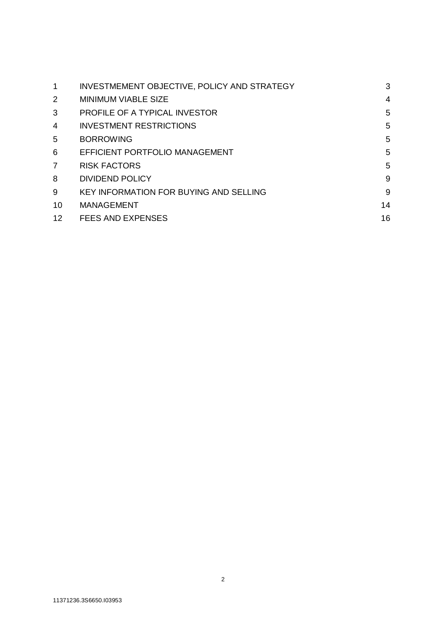| 1                 | INVESTMEMENT OBJECTIVE, POLICY AND STRATEGY   | 3  |
|-------------------|-----------------------------------------------|----|
| 2                 | <b>MINIMUM VIABLE SIZE</b>                    | 4  |
| 3                 | <b>PROFILE OF A TYPICAL INVESTOR</b>          | 5  |
| 4                 | <b>INVESTMENT RESTRICTIONS</b>                | 5  |
| 5                 | <b>BORROWING</b>                              | 5  |
| 6                 | <b>EFFICIENT PORTFOLIO MANAGEMENT</b>         | 5  |
| $\overline{7}$    | <b>RISK FACTORS</b>                           | 5  |
| 8                 | DIVIDEND POLICY                               | 9  |
| 9                 | <b>KEY INFORMATION FOR BUYING AND SELLING</b> | 9  |
| 10                | <b>MANAGEMENT</b>                             | 14 |
| $12 \overline{ }$ | FEES AND EXPENSES                             | 16 |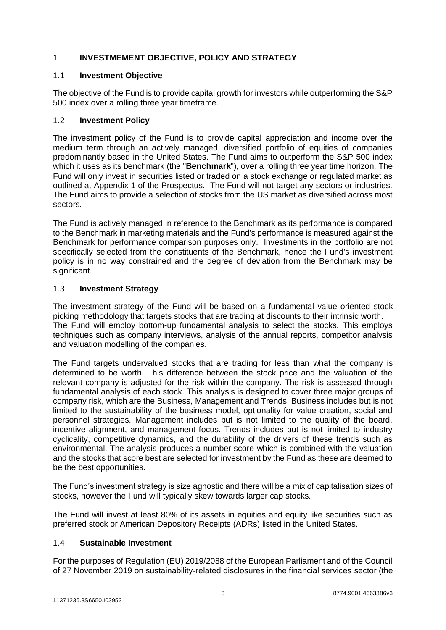# <span id="page-2-0"></span>1 **INVESTMEMENT OBJECTIVE, POLICY AND STRATEGY**

# 1.1 **Investment Objective**

The objective of the Fund is to provide capital growth for investors while outperforming the S&P 500 index over a rolling three year timeframe.

# 1.2 **Investment Policy**

The investment policy of the Fund is to provide capital appreciation and income over the medium term through an actively managed, diversified portfolio of equities of companies predominantly based in the United States. The Fund aims to outperform the S&P 500 index which it uses as its benchmark (the "**Benchmark**"), over a rolling three year time horizon. The Fund will only invest in securities listed or traded on a stock exchange or regulated market as outlined at Appendix 1 of the Prospectus. The Fund will not target any sectors or industries. The Fund aims to provide a selection of stocks from the US market as diversified across most sectors.

The Fund is actively managed in reference to the Benchmark as its performance is compared to the Benchmark in marketing materials and the Fund's performance is measured against the Benchmark for performance comparison purposes only. Investments in the portfolio are not specifically selected from the constituents of the Benchmark, hence the Fund's investment policy is in no way constrained and the degree of deviation from the Benchmark may be significant.

# 1.3 **Investment Strategy**

The investment strategy of the Fund will be based on a fundamental value-oriented stock picking methodology that targets stocks that are trading at discounts to their intrinsic worth. The Fund will employ bottom-up fundamental analysis to select the stocks. This employs techniques such as company interviews, analysis of the annual reports, competitor analysis and valuation modelling of the companies.

The Fund targets undervalued stocks that are trading for less than what the company is determined to be worth. This difference between the stock price and the valuation of the relevant company is adjusted for the risk within the company. The risk is assessed through fundamental analysis of each stock. This analysis is designed to cover three major groups of company risk, which are the Business, Management and Trends. Business includes but is not limited to the sustainability of the business model, optionality for value creation, social and personnel strategies. Management includes but is not limited to the quality of the board, incentive alignment, and management focus. Trends includes but is not limited to industry cyclicality, competitive dynamics, and the durability of the drivers of these trends such as environmental. The analysis produces a number score which is combined with the valuation and the stocks that score best are selected for investment by the Fund as these are deemed to be the best opportunities.

The Fund's investment strategy is size agnostic and there will be a mix of capitalisation sizes of stocks, however the Fund will typically skew towards larger cap stocks.

The Fund will invest at least 80% of its assets in equities and equity like securities such as preferred stock or American Depository Receipts (ADRs) listed in the United States.

#### 1.4 **Sustainable Investment**

For the purposes of Regulation (EU) 2019/2088 of the European Parliament and of the Council of 27 November 2019 on sustainability‐related disclosures in the financial services sector (the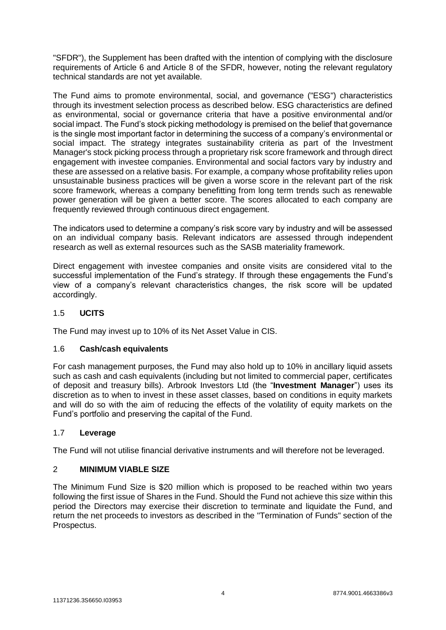"SFDR"), the Supplement has been drafted with the intention of complying with the disclosure requirements of Article 6 and Article 8 of the SFDR, however, noting the relevant regulatory technical standards are not yet available.

The Fund aims to promote environmental, social, and governance ("ESG") characteristics through its investment selection process as described below. ESG characteristics are defined as environmental, social or governance criteria that have a positive environmental and/or social impact. The Fund's stock picking methodology is premised on the belief that governance is the single most important factor in determining the success of a company's environmental or social impact. The strategy integrates sustainability criteria as part of the Investment Manager's stock picking process through a proprietary risk score framework and through direct engagement with investee companies. Environmental and social factors vary by industry and these are assessed on a relative basis. For example, a company whose profitability relies upon unsustainable business practices will be given a worse score in the relevant part of the risk score framework, whereas a company benefitting from long term trends such as renewable power generation will be given a better score. The scores allocated to each company are frequently reviewed through continuous direct engagement.

The indicators used to determine a company's risk score vary by industry and will be assessed on an individual company basis. Relevant indicators are assessed through independent research as well as external resources such as the SASB materiality framework.

Direct engagement with investee companies and onsite visits are considered vital to the successful implementation of the Fund's strategy. If through these engagements the Fund's view of a company's relevant characteristics changes, the risk score will be updated accordingly.

# 1.5 **UCITS**

The Fund may invest up to 10% of its Net Asset Value in CIS.

#### 1.6 **Cash/cash equivalents**

For cash management purposes, the Fund may also hold up to 10% in ancillary liquid assets such as cash and cash equivalents (including but not limited to commercial paper, certificates of deposit and treasury bills). Arbrook Investors Ltd (the "**Investment Manager**") uses its discretion as to when to invest in these asset classes, based on conditions in equity markets and will do so with the aim of reducing the effects of the volatility of equity markets on the Fund's portfolio and preserving the capital of the Fund.

#### 1.7 **Leverage**

The Fund will not utilise financial derivative instruments and will therefore not be leveraged.

#### <span id="page-3-0"></span>2 **MINIMUM VIABLE SIZE**

The Minimum Fund Size is \$20 million which is proposed to be reached within two years following the first issue of Shares in the Fund. Should the Fund not achieve this size within this period the Directors may exercise their discretion to terminate and liquidate the Fund, and return the net proceeds to investors as described in the "Termination of Funds" section of the Prospectus.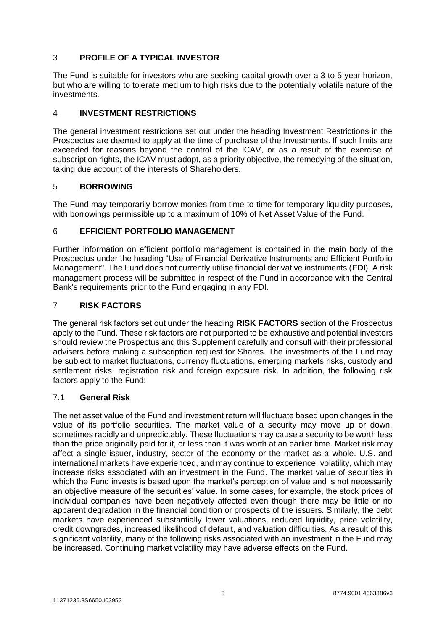# <span id="page-4-0"></span>3 **PROFILE OF A TYPICAL INVESTOR**

The Fund is suitable for investors who are seeking capital growth over a 3 to 5 year horizon, but who are willing to tolerate medium to high risks due to the potentially volatile nature of the investments.

# <span id="page-4-1"></span>4 **INVESTMENT RESTRICTIONS**

The general investment restrictions set out under the heading Investment Restrictions in the Prospectus are deemed to apply at the time of purchase of the Investments. If such limits are exceeded for reasons beyond the control of the ICAV, or as a result of the exercise of subscription rights, the ICAV must adopt, as a priority objective, the remedying of the situation, taking due account of the interests of Shareholders.

#### <span id="page-4-2"></span>5 **BORROWING**

The Fund may temporarily borrow monies from time to time for temporary liquidity purposes, with borrowings permissible up to a maximum of 10% of Net Asset Value of the Fund.

#### <span id="page-4-3"></span>6 **EFFICIENT PORTFOLIO MANAGEMENT**

Further information on efficient portfolio management is contained in the main body of the Prospectus under the heading "Use of Financial Derivative Instruments and Efficient Portfolio Management". The Fund does not currently utilise financial derivative instruments (**FDI**). A risk management process will be submitted in respect of the Fund in accordance with the Central Bank's requirements prior to the Fund engaging in any FDI.

# <span id="page-4-4"></span>7 **RISK FACTORS**

The general risk factors set out under the heading **RISK FACTORS** section of the Prospectus apply to the Fund. These risk factors are not purported to be exhaustive and potential investors should review the Prospectus and this Supplement carefully and consult with their professional advisers before making a subscription request for Shares. The investments of the Fund may be subject to market fluctuations, currency fluctuations, emerging markets risks, custody and settlement risks, registration risk and foreign exposure risk. In addition, the following risk factors apply to the Fund:

#### 7.1 **General Risk**

The net asset value of the Fund and investment return will fluctuate based upon changes in the value of its portfolio securities. The market value of a security may move up or down, sometimes rapidly and unpredictably. These fluctuations may cause a security to be worth less than the price originally paid for it, or less than it was worth at an earlier time. Market risk may affect a single issuer, industry, sector of the economy or the market as a whole. U.S. and international markets have experienced, and may continue to experience, volatility, which may increase risks associated with an investment in the Fund. The market value of securities in which the Fund invests is based upon the market's perception of value and is not necessarily an objective measure of the securities' value. In some cases, for example, the stock prices of individual companies have been negatively affected even though there may be little or no apparent degradation in the financial condition or prospects of the issuers. Similarly, the debt markets have experienced substantially lower valuations, reduced liquidity, price volatility, credit downgrades, increased likelihood of default, and valuation difficulties. As a result of this significant volatility, many of the following risks associated with an investment in the Fund may be increased. Continuing market volatility may have adverse effects on the Fund.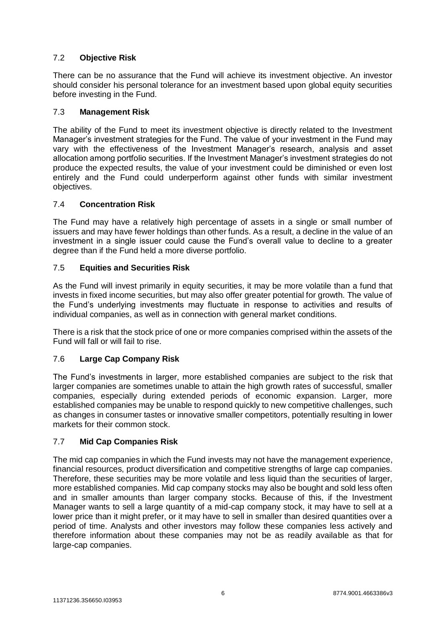# 7.2 **Objective Risk**

There can be no assurance that the Fund will achieve its investment objective. An investor should consider his personal tolerance for an investment based upon global equity securities before investing in the Fund.

#### 7.3 **Management Risk**

The ability of the Fund to meet its investment objective is directly related to the Investment Manager's investment strategies for the Fund. The value of your investment in the Fund may vary with the effectiveness of the Investment Manager's research, analysis and asset allocation among portfolio securities. If the Investment Manager's investment strategies do not produce the expected results, the value of your investment could be diminished or even lost entirely and the Fund could underperform against other funds with similar investment objectives.

#### 7.4 **Concentration Risk**

The Fund may have a relatively high percentage of assets in a single or small number of issuers and may have fewer holdings than other funds. As a result, a decline in the value of an investment in a single issuer could cause the Fund's overall value to decline to a greater degree than if the Fund held a more diverse portfolio.

#### 7.5 **Equities and Securities Risk**

As the Fund will invest primarily in equity securities, it may be more volatile than a fund that invests in fixed income securities, but may also offer greater potential for growth. The value of the Fund's underlying investments may fluctuate in response to activities and results of individual companies, as well as in connection with general market conditions.

There is a risk that the stock price of one or more companies comprised within the assets of the Fund will fall or will fail to rise.

#### 7.6 **Large Cap Company Risk**

The Fund's investments in larger, more established companies are subject to the risk that larger companies are sometimes unable to attain the high growth rates of successful, smaller companies, especially during extended periods of economic expansion. Larger, more established companies may be unable to respond quickly to new competitive challenges, such as changes in consumer tastes or innovative smaller competitors, potentially resulting in lower markets for their common stock.

#### 7.7 **Mid Cap Companies Risk**

The mid cap companies in which the Fund invests may not have the management experience, financial resources, product diversification and competitive strengths of large cap companies. Therefore, these securities may be more volatile and less liquid than the securities of larger, more established companies. Mid cap company stocks may also be bought and sold less often and in smaller amounts than larger company stocks. Because of this, if the Investment Manager wants to sell a large quantity of a mid-cap company stock, it may have to sell at a lower price than it might prefer, or it may have to sell in smaller than desired quantities over a period of time. Analysts and other investors may follow these companies less actively and therefore information about these companies may not be as readily available as that for large-cap companies.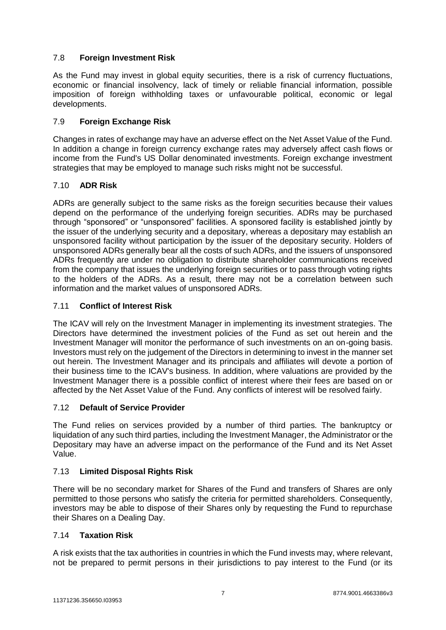# 7.8 **Foreign Investment Risk**

As the Fund may invest in global equity securities, there is a risk of currency fluctuations, economic or financial insolvency, lack of timely or reliable financial information, possible imposition of foreign withholding taxes or unfavourable political, economic or legal developments.

### 7.9 **Foreign Exchange Risk**

Changes in rates of exchange may have an adverse effect on the Net Asset Value of the Fund. In addition a change in foreign currency exchange rates may adversely affect cash flows or income from the Fund's US Dollar denominated investments. Foreign exchange investment strategies that may be employed to manage such risks might not be successful.

# 7.10 **ADR Risk**

ADRs are generally subject to the same risks as the foreign securities because their values depend on the performance of the underlying foreign securities. ADRs may be purchased through "sponsored" or "unsponsored" facilities. A sponsored facility is established jointly by the issuer of the underlying security and a depositary, whereas a depositary may establish an unsponsored facility without participation by the issuer of the depositary security. Holders of unsponsored ADRs generally bear all the costs of such ADRs, and the issuers of unsponsored ADRs frequently are under no obligation to distribute shareholder communications received from the company that issues the underlying foreign securities or to pass through voting rights to the holders of the ADRs. As a result, there may not be a correlation between such information and the market values of unsponsored ADRs.

# 7.11 **Conflict of Interest Risk**

The ICAV will rely on the Investment Manager in implementing its investment strategies. The Directors have determined the investment policies of the Fund as set out herein and the Investment Manager will monitor the performance of such investments on an on-going basis. Investors must rely on the judgement of the Directors in determining to invest in the manner set out herein. The Investment Manager and its principals and affiliates will devote a portion of their business time to the ICAV's business. In addition, where valuations are provided by the Investment Manager there is a possible conflict of interest where their fees are based on or affected by the Net Asset Value of the Fund. Any conflicts of interest will be resolved fairly.

#### 7.12 **Default of Service Provider**

The Fund relies on services provided by a number of third parties. The bankruptcy or liquidation of any such third parties, including the Investment Manager, the Administrator or the Depositary may have an adverse impact on the performance of the Fund and its Net Asset Value.

### 7.13 **Limited Disposal Rights Risk**

There will be no secondary market for Shares of the Fund and transfers of Shares are only permitted to those persons who satisfy the criteria for permitted shareholders. Consequently, investors may be able to dispose of their Shares only by requesting the Fund to repurchase their Shares on a Dealing Day.

#### 7.14 **Taxation Risk**

A risk exists that the tax authorities in countries in which the Fund invests may, where relevant, not be prepared to permit persons in their jurisdictions to pay interest to the Fund (or its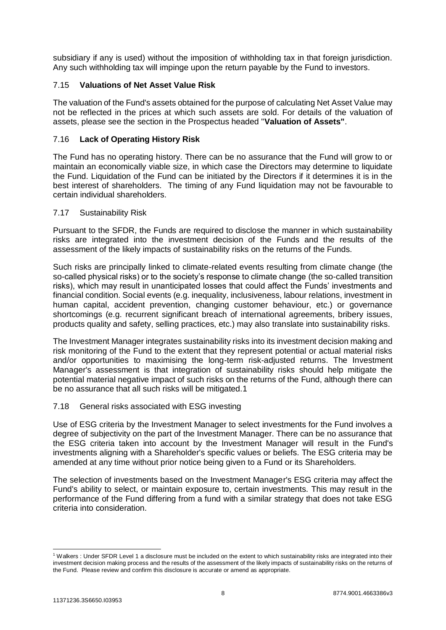subsidiary if any is used) without the imposition of withholding tax in that foreign jurisdiction. Any such withholding tax will impinge upon the return payable by the Fund to investors.

#### 7.15 **Valuations of Net Asset Value Risk**

The valuation of the Fund's assets obtained for the purpose of calculating Net Asset Value may not be reflected in the prices at which such assets are sold. For details of the valuation of assets, please see the section in the Prospectus headed "**Valuation of Assets"**.

# 7.16 **Lack of Operating History Risk**

The Fund has no operating history. There can be no assurance that the Fund will grow to or maintain an economically viable size, in which case the Directors may determine to liquidate the Fund. Liquidation of the Fund can be initiated by the Directors if it determines it is in the best interest of shareholders. The timing of any Fund liquidation may not be favourable to certain individual shareholders.

#### 7.17 Sustainability Risk

Pursuant to the SFDR, the Funds are required to disclose the manner in which sustainability risks are integrated into the investment decision of the Funds and the results of the assessment of the likely impacts of sustainability risks on the returns of the Funds.

Such risks are principally linked to climate-related events resulting from climate change (the so-called physical risks) or to the society's response to climate change (the so-called transition risks), which may result in unanticipated losses that could affect the Funds' investments and financial condition. Social events (e.g. inequality, inclusiveness, labour relations, investment in human capital, accident prevention, changing customer behaviour, etc.) or governance shortcomings (e.g. recurrent significant breach of international agreements, bribery issues, products quality and safety, selling practices, etc.) may also translate into sustainability risks.

The Investment Manager integrates sustainability risks into its investment decision making and risk monitoring of the Fund to the extent that they represent potential or actual material risks and/or opportunities to maximising the long-term risk-adjusted returns. The Investment Manager's assessment is that integration of sustainability risks should help mitigate the potential material negative impact of such risks on the returns of the Fund, although there can be no assurance that all such risks will be mitigated.1

#### 7.18 General risks associated with ESG investing

Use of ESG criteria by the Investment Manager to select investments for the Fund involves a degree of subjectivity on the part of the Investment Manager. There can be no assurance that the ESG criteria taken into account by the Investment Manager will result in the Fund's investments aligning with a Shareholder's specific values or beliefs. The ESG criteria may be amended at any time without prior notice being given to a Fund or its Shareholders.

The selection of investments based on the Investment Manager's ESG criteria may affect the Fund's ability to select, or maintain exposure to, certain investments. This may result in the performance of the Fund differing from a fund with a similar strategy that does not take ESG criteria into consideration.

 <sup>1</sup> Walkers : Under SFDR Level 1 a disclosure must be included on the extent to which sustainability risks are integrated into their investment decision making process and the results of the assessment of the likely impacts of sustainability risks on the returns of the Fund. Please review and confirm this disclosure is accurate or amend as appropriate.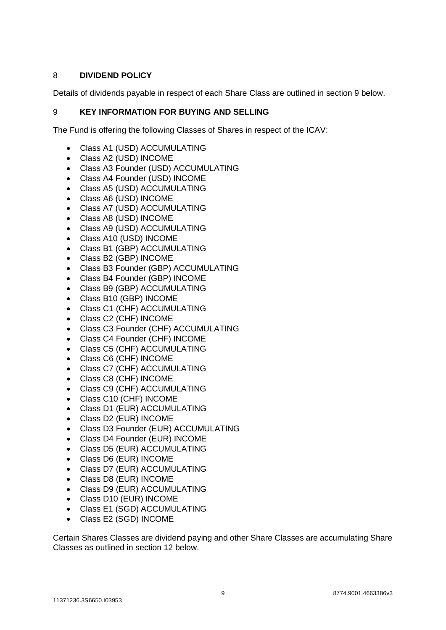# <span id="page-8-0"></span>8 **DIVIDEND POLICY**

Details of dividends payable in respect of each Share Class are outlined in section 9 below.

### <span id="page-8-1"></span>9 **KEY INFORMATION FOR BUYING AND SELLING**

The Fund is offering the following Classes of Shares in respect of the ICAV:

- Class A1 (USD) ACCUMULATING
- Class A2 (USD) INCOME
- Class A3 Founder (USD) ACCUMULATING
- Class A4 Founder (USD) INCOME
- Class A5 (USD) ACCUMULATING
- Class A6 (USD) INCOME
- Class A7 (USD) ACCUMULATING
- Class A8 (USD) INCOME
- Class A9 (USD) ACCUMULATING
- Class A10 (USD) INCOME
- Class B1 (GBP) ACCUMULATING
- Class B2 (GBP) INCOME
- Class B3 Founder (GBP) ACCUMULATING
- Class B4 Founder (GBP) INCOME
- Class B9 (GBP) ACCUMULATING
- Class B10 (GBP) INCOME
- Class C1 (CHF) ACCUMULATING
- Class C2 (CHF) INCOME
- Class C3 Founder (CHF) ACCUMULATING
- Class C4 Founder (CHF) INCOME
- Class C5 (CHF) ACCUMULATING
- Class C6 (CHF) INCOME
- Class C7 (CHF) ACCUMULATING
- Class C8 (CHF) INCOME
- Class C9 (CHF) ACCUMULATING
- Class C10 (CHF) INCOME
- Class D1 (EUR) ACCUMULATING
- Class D2 (EUR) INCOME
- Class D3 Founder (EUR) ACCUMULATING
- Class D4 Founder (EUR) INCOME
- Class D5 (EUR) ACCUMULATING
- Class D6 (EUR) INCOME
- Class D7 (EUR) ACCUMULATING
- Class D8 (EUR) INCOME
- Class D9 (EUR) ACCUMULATING
- Class D10 (EUR) INCOME
- Class E1 (SGD) ACCUMULATING
- Class E2 (SGD) INCOME

Certain Shares Classes are dividend paying and other Share Classes are accumulating Share Classes as outlined in section 12 below.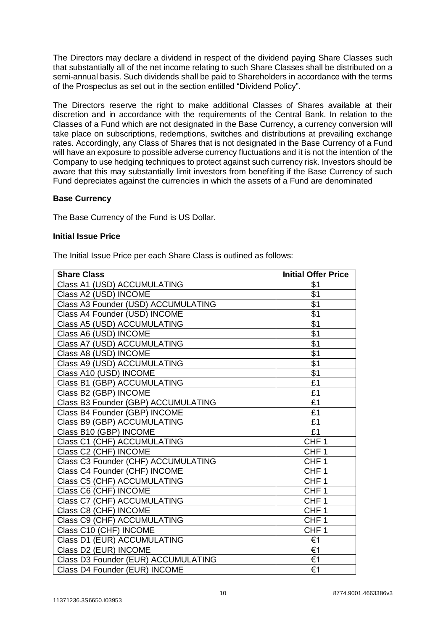The Directors may declare a dividend in respect of the dividend paying Share Classes such that substantially all of the net income relating to such Share Classes shall be distributed on a semi-annual basis. Such dividends shall be paid to Shareholders in accordance with the terms of the Prospectus as set out in the section entitled "Dividend Policy".

The Directors reserve the right to make additional Classes of Shares available at their discretion and in accordance with the requirements of the Central Bank. In relation to the Classes of a Fund which are not designated in the Base Currency, a currency conversion will take place on subscriptions, redemptions, switches and distributions at prevailing exchange rates. Accordingly, any Class of Shares that is not designated in the Base Currency of a Fund will have an exposure to possible adverse currency fluctuations and it is not the intention of the Company to use hedging techniques to protect against such currency risk. Investors should be aware that this may substantially limit investors from benefiting if the Base Currency of such Fund depreciates against the currencies in which the assets of a Fund are denominated

#### **Base Currency**

The Base Currency of the Fund is US Dollar.

#### **Initial Issue Price**

The Initial Issue Price per each Share Class is outlined as follows:

| <b>Share Class</b>                  | <b>Initial Offer Price</b> |
|-------------------------------------|----------------------------|
| Class A1 (USD) ACCUMULATING         | \$1                        |
| Class A2 (USD) INCOME               | \$1                        |
| Class A3 Founder (USD) ACCUMULATING | \$1                        |
| Class A4 Founder (USD) INCOME       | \$1                        |
| Class A5 (USD) ACCUMULATING         | $\overline{$1$}$           |
| Class A6 (USD) INCOME               | $\overline{$1}$            |
| Class A7 (USD) ACCUMULATING         | \$1                        |
| Class A8 (USD) INCOME               | \$1                        |
| Class A9 (USD) ACCUMULATING         | $\overline{$1$}$           |
| Class A10 (USD) INCOME              | $\overline{$1}$            |
| Class B1 (GBP) ACCUMULATING         | £1                         |
| Class B2 (GBP) INCOME               | £1                         |
| Class B3 Founder (GBP) ACCUMULATING | £1                         |
| Class B4 Founder (GBP) INCOME       | £1                         |
| Class B9 (GBP) ACCUMULATING         | £1                         |
| Class B10 (GBP) INCOME              | $\overline{f1}$            |
| Class C1 (CHF) ACCUMULATING         | CHF <sub>1</sub>           |
| Class C2 (CHF) INCOME               | CHF <sub>1</sub>           |
| Class C3 Founder (CHF) ACCUMULATING | CHF <sub>1</sub>           |
| Class C4 Founder (CHF) INCOME       | CHF <sub>1</sub>           |
| Class C5 (CHF) ACCUMULATING         | CHF <sub>1</sub>           |
| Class C6 (CHF) INCOME               | CHF <sub>1</sub>           |
| Class C7 (CHF) ACCUMULATING         | CHF <sub>1</sub>           |
| Class C8 (CHF) INCOME               | $CHF\overline{1}$          |
| Class C9 (CHF) ACCUMULATING         | CHF <sub>1</sub>           |
| Class C10 (CHF) INCOME              | CHF <sub>1</sub>           |
| Class D1 (EUR) ACCUMULATING         | €1                         |
| Class D2 (EUR) INCOME               | €1                         |
| Class D3 Founder (EUR) ACCUMULATING | $\overline{\epsilon}$ 1    |
| Class D4 Founder (EUR) INCOME       | €1                         |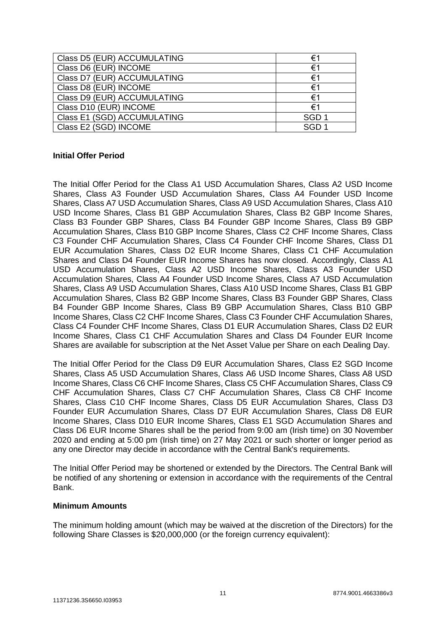| Class D5 (EUR) ACCUMULATING | €1               |
|-----------------------------|------------------|
| Class D6 (EUR) INCOME       | €1               |
| Class D7 (EUR) ACCUMULATING | €1               |
| Class D8 (EUR) INCOME       | €1               |
| Class D9 (EUR) ACCUMULATING | €1               |
| Class D10 (EUR) INCOME      | €1               |
| Class E1 (SGD) ACCUMULATING | SGD <sub>1</sub> |
| Class E2 (SGD) INCOME       | SGD <sub>1</sub> |

#### **Initial Offer Period**

The Initial Offer Period for the Class A1 USD Accumulation Shares, Class A2 USD Income Shares, Class A3 Founder USD Accumulation Shares, Class A4 Founder USD Income Shares, Class A7 USD Accumulation Shares, Class A9 USD Accumulation Shares, Class A10 USD Income Shares, Class B1 GBP Accumulation Shares, Class B2 GBP Income Shares, Class B3 Founder GBP Shares, Class B4 Founder GBP Income Shares, Class B9 GBP Accumulation Shares, Class B10 GBP Income Shares, Class C2 CHF Income Shares, Class C3 Founder CHF Accumulation Shares, Class C4 Founder CHF Income Shares, Class D1 EUR Accumulation Shares, Class D2 EUR Income Shares, Class C1 CHF Accumulation Shares and Class D4 Founder EUR Income Shares has now closed. Accordingly, Class A1 USD Accumulation Shares, Class A2 USD Income Shares, Class A3 Founder USD Accumulation Shares, Class A4 Founder USD Income Shares, Class A7 USD Accumulation Shares, Class A9 USD Accumulation Shares, Class A10 USD Income Shares, Class B1 GBP Accumulation Shares, Class B2 GBP Income Shares, Class B3 Founder GBP Shares, Class B4 Founder GBP Income Shares, Class B9 GBP Accumulation Shares, Class B10 GBP Income Shares, Class C2 CHF Income Shares, Class C3 Founder CHF Accumulation Shares, Class C4 Founder CHF Income Shares, Class D1 EUR Accumulation Shares, Class D2 EUR Income Shares, Class C1 CHF Accumulation Shares and Class D4 Founder EUR Income Shares are available for subscription at the Net Asset Value per Share on each Dealing Day.

The Initial Offer Period for the Class D9 EUR Accumulation Shares, Class E2 SGD Income Shares, Class A5 USD Accumulation Shares, Class A6 USD Income Shares, Class A8 USD Income Shares, Class C6 CHF Income Shares, Class C5 CHF Accumulation Shares, Class C9 CHF Accumulation Shares, Class C7 CHF Accumulation Shares, Class C8 CHF Income Shares, Class C10 CHF Income Shares, Class D5 EUR Accumulation Shares, Class D3 Founder EUR Accumulation Shares, Class D7 EUR Accumulation Shares, Class D8 EUR Income Shares, Class D10 EUR Income Shares, Class E1 SGD Accumulation Shares and Class D6 EUR Income Shares shall be the period from 9:00 am (Irish time) on 30 November 2020 and ending at 5:00 pm (Irish time) on 27 May 2021 or such shorter or longer period as any one Director may decide in accordance with the Central Bank's requirements.

The Initial Offer Period may be shortened or extended by the Directors. The Central Bank will be notified of any shortening or extension in accordance with the requirements of the Central Bank.

#### **Minimum Amounts**

The minimum holding amount (which may be waived at the discretion of the Directors) for the following Share Classes is \$20,000,000 (or the foreign currency equivalent):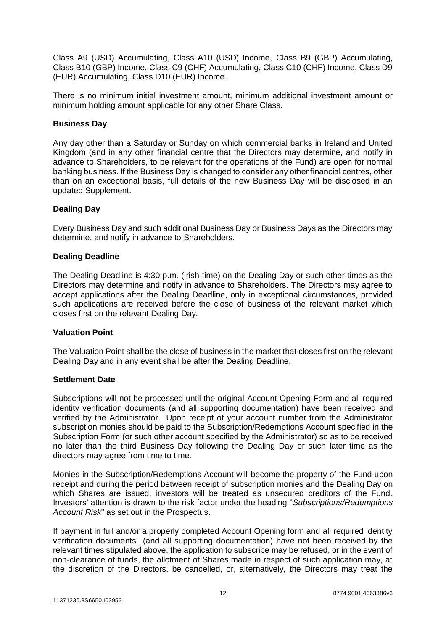Class A9 (USD) Accumulating, Class A10 (USD) Income, Class B9 (GBP) Accumulating, Class B10 (GBP) Income, Class C9 (CHF) Accumulating, Class C10 (CHF) Income, Class D9 (EUR) Accumulating, Class D10 (EUR) Income.

There is no minimum initial investment amount, minimum additional investment amount or minimum holding amount applicable for any other Share Class.

#### **Business Day**

Any day other than a Saturday or Sunday on which commercial banks in Ireland and United Kingdom (and in any other financial centre that the Directors may determine, and notify in advance to Shareholders, to be relevant for the operations of the Fund) are open for normal banking business. If the Business Day is changed to consider any other financial centres, other than on an exceptional basis, full details of the new Business Day will be disclosed in an updated Supplement.

#### **Dealing Day**

Every Business Day and such additional Business Day or Business Days as the Directors may determine, and notify in advance to Shareholders.

#### **Dealing Deadline**

The Dealing Deadline is 4:30 p.m. (Irish time) on the Dealing Day or such other times as the Directors may determine and notify in advance to Shareholders. The Directors may agree to accept applications after the Dealing Deadline, only in exceptional circumstances, provided such applications are received before the close of business of the relevant market which closes first on the relevant Dealing Day.

#### **Valuation Point**

The Valuation Point shall be the close of business in the market that closes first on the relevant Dealing Day and in any event shall be after the Dealing Deadline.

#### **Settlement Date**

Subscriptions will not be processed until the original Account Opening Form and all required identity verification documents (and all supporting documentation) have been received and verified by the Administrator. Upon receipt of your account number from the Administrator subscription monies should be paid to the Subscription/Redemptions Account specified in the Subscription Form (or such other account specified by the Administrator) so as to be received no later than the third Business Day following the Dealing Day or such later time as the directors may agree from time to time.

Monies in the Subscription/Redemptions Account will become the property of the Fund upon receipt and during the period between receipt of subscription monies and the Dealing Day on which Shares are issued, investors will be treated as unsecured creditors of the Fund. Investors' attention is drawn to the risk factor under the heading "*Subscriptions/Redemptions Account Risk*" as set out in the Prospectus.

If payment in full and/or a properly completed Account Opening form and all required identity verification documents (and all supporting documentation) have not been received by the relevant times stipulated above, the application to subscribe may be refused, or in the event of non-clearance of funds, the allotment of Shares made in respect of such application may, at the discretion of the Directors, be cancelled, or, alternatively, the Directors may treat the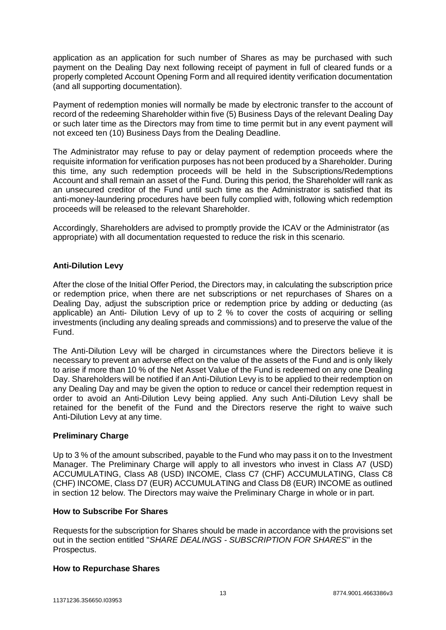application as an application for such number of Shares as may be purchased with such payment on the Dealing Day next following receipt of payment in full of cleared funds or a properly completed Account Opening Form and all required identity verification documentation (and all supporting documentation).

Payment of redemption monies will normally be made by electronic transfer to the account of record of the redeeming Shareholder within five (5) Business Days of the relevant Dealing Day or such later time as the Directors may from time to time permit but in any event payment will not exceed ten (10) Business Days from the Dealing Deadline.

The Administrator may refuse to pay or delay payment of redemption proceeds where the requisite information for verification purposes has not been produced by a Shareholder. During this time, any such redemption proceeds will be held in the Subscriptions/Redemptions Account and shall remain an asset of the Fund. During this period, the Shareholder will rank as an unsecured creditor of the Fund until such time as the Administrator is satisfied that its anti-money-laundering procedures have been fully complied with, following which redemption proceeds will be released to the relevant Shareholder.

Accordingly, Shareholders are advised to promptly provide the ICAV or the Administrator (as appropriate) with all documentation requested to reduce the risk in this scenario.

# **Anti-Dilution Levy**

After the close of the Initial Offer Period, the Directors may, in calculating the subscription price or redemption price, when there are net subscriptions or net repurchases of Shares on a Dealing Day, adjust the subscription price or redemption price by adding or deducting (as applicable) an Anti- Dilution Levy of up to 2 % to cover the costs of acquiring or selling investments (including any dealing spreads and commissions) and to preserve the value of the Fund.

The Anti-Dilution Levy will be charged in circumstances where the Directors believe it is necessary to prevent an adverse effect on the value of the assets of the Fund and is only likely to arise if more than 10 % of the Net Asset Value of the Fund is redeemed on any one Dealing Day. Shareholders will be notified if an Anti-Dilution Levy is to be applied to their redemption on any Dealing Day and may be given the option to reduce or cancel their redemption request in order to avoid an Anti-Dilution Levy being applied. Any such Anti-Dilution Levy shall be retained for the benefit of the Fund and the Directors reserve the right to waive such Anti-Dilution Levy at any time.

#### **Preliminary Charge**

Up to 3 % of the amount subscribed, payable to the Fund who may pass it on to the Investment Manager. The Preliminary Charge will apply to all investors who invest in Class A7 (USD) ACCUMULATING, Class A8 (USD) INCOME, Class C7 (CHF) ACCUMULATING, Class C8 (CHF) INCOME, Class D7 (EUR) ACCUMULATING and Class D8 (EUR) INCOME as outlined in section 12 below. The Directors may waive the Preliminary Charge in whole or in part.

#### **How to Subscribe For Shares**

Requests for the subscription for Shares should be made in accordance with the provisions set out in the section entitled "*SHARE DEALINGS - SUBSCRIPTION FOR SHARES*" in the Prospectus.

#### **How to Repurchase Shares**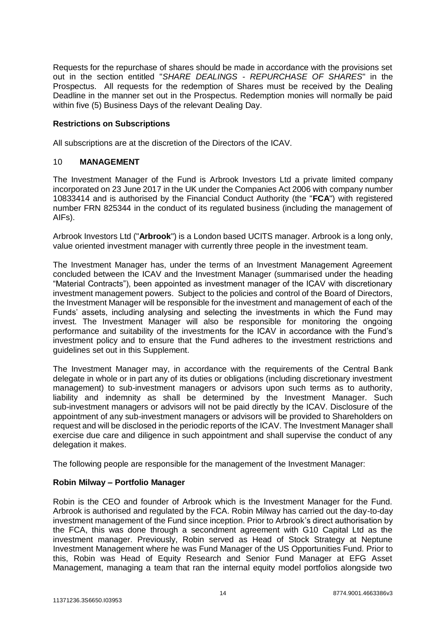Requests for the repurchase of shares should be made in accordance with the provisions set out in the section entitled "*SHARE DEALINGS - REPURCHASE OF SHARES*" in the Prospectus. All requests for the redemption of Shares must be received by the Dealing Deadline in the manner set out in the Prospectus. Redemption monies will normally be paid within five (5) Business Days of the relevant Dealing Day.

#### **Restrictions on Subscriptions**

All subscriptions are at the discretion of the Directors of the ICAV.

#### <span id="page-13-0"></span>10 **MANAGEMENT**

The Investment Manager of the Fund is Arbrook Investors Ltd a private limited company incorporated on 23 June 2017 in the UK under the Companies Act 2006 with company number 10833414 and is authorised by the Financial Conduct Authority (the "**FCA**") with registered number FRN 825344 in the conduct of its regulated business (including the management of AIFs).

Arbrook Investors Ltd ("**Arbrook**") is a London based UCITS manager. Arbrook is a long only, value oriented investment manager with currently three people in the investment team.

The Investment Manager has, under the terms of an Investment Management Agreement concluded between the ICAV and the Investment Manager (summarised under the heading "Material Contracts"), been appointed as investment manager of the ICAV with discretionary investment management powers. Subject to the policies and control of the Board of Directors, the Investment Manager will be responsible for the investment and management of each of the Funds' assets, including analysing and selecting the investments in which the Fund may invest. The Investment Manager will also be responsible for monitoring the ongoing performance and suitability of the investments for the ICAV in accordance with the Fund's investment policy and to ensure that the Fund adheres to the investment restrictions and guidelines set out in this Supplement.

The Investment Manager may, in accordance with the requirements of the Central Bank delegate in whole or in part any of its duties or obligations (including discretionary investment management) to sub-investment managers or advisors upon such terms as to authority, liability and indemnity as shall be determined by the Investment Manager. Such sub-investment managers or advisors will not be paid directly by the ICAV. Disclosure of the appointment of any sub-investment managers or advisors will be provided to Shareholders on request and will be disclosed in the periodic reports of the ICAV. The Investment Manager shall exercise due care and diligence in such appointment and shall supervise the conduct of any delegation it makes.

The following people are responsible for the management of the Investment Manager:

#### **Robin Milway – Portfolio Manager**

Robin is the CEO and founder of Arbrook which is the Investment Manager for the Fund. Arbrook is authorised and regulated by the FCA. Robin Milway has carried out the day-to-day investment management of the Fund since inception. Prior to Arbrook's direct authorisation by the FCA, this was done through a secondment agreement with G10 Capital Ltd as the investment manager. Previously, Robin served as Head of Stock Strategy at Neptune Investment Management where he was Fund Manager of the US Opportunities Fund. Prior to this, Robin was Head of Equity Research and Senior Fund Manager at EFG Asset Management, managing a team that ran the internal equity model portfolios alongside two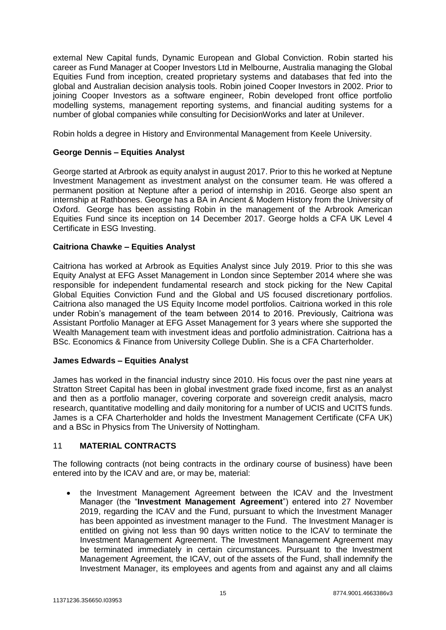external New Capital funds, Dynamic European and Global Conviction. Robin started his career as Fund Manager at Cooper Investors Ltd in Melbourne, Australia managing the Global Equities Fund from inception, created proprietary systems and databases that fed into the global and Australian decision analysis tools. Robin joined Cooper Investors in 2002. Prior to joining Cooper Investors as a software engineer, Robin developed front office portfolio modelling systems, management reporting systems, and financial auditing systems for a number of global companies while consulting for DecisionWorks and later at Unilever.

Robin holds a degree in History and Environmental Management from Keele University.

#### **George Dennis – Equities Analyst**

George started at Arbrook as equity analyst in august 2017. Prior to this he worked at Neptune Investment Management as investment analyst on the consumer team. He was offered a permanent position at Neptune after a period of internship in 2016. George also spent an internship at Rathbones. George has a BA in Ancient & Modern History from the University of Oxford. George has been assisting Robin in the management of the Arbrook American Equities Fund since its inception on 14 December 2017. George holds a CFA UK Level 4 Certificate in ESG Investing.

#### **Caitriona Chawke – Equities Analyst**

Caitriona has worked at Arbrook as Equities Analyst since July 2019. Prior to this she was Equity Analyst at EFG Asset Management in London since September 2014 where she was responsible for independent fundamental research and stock picking for the New Capital Global Equities Conviction Fund and the Global and US focused discretionary portfolios. Caitriona also managed the US Equity Income model portfolios. Caitriona worked in this role under Robin's management of the team between 2014 to 2016. Previously, Caitriona was Assistant Portfolio Manager at EFG Asset Management for 3 years where she supported the Wealth Management team with investment ideas and portfolio administration. Caitriona has a BSc. Economics & Finance from University College Dublin. She is a CFA Charterholder.

#### **James Edwards – Equities Analyst**

James has worked in the financial industry since 2010. His focus over the past nine years at Stratton Street Capital has been in global investment grade fixed income, first as an analyst and then as a portfolio manager, covering corporate and sovereign credit analysis, macro research, quantitative modelling and daily monitoring for a number of UCIS and UCITS funds. James is a CFA Charterholder and holds the Investment Management Certificate (CFA UK) and a BSc in Physics from The University of Nottingham.

#### 11 **MATERIAL CONTRACTS**

The following contracts (not being contracts in the ordinary course of business) have been entered into by the ICAV and are, or may be, material:

 the Investment Management Agreement between the ICAV and the Investment Manager (the "**Investment Management Agreement**") entered into 27 November 2019, regarding the ICAV and the Fund, pursuant to which the Investment Manager has been appointed as investment manager to the Fund. The Investment Manager is entitled on giving not less than 90 days written notice to the ICAV to terminate the Investment Management Agreement. The Investment Management Agreement may be terminated immediately in certain circumstances. Pursuant to the Investment Management Agreement, the ICAV, out of the assets of the Fund, shall indemnify the Investment Manager, its employees and agents from and against any and all claims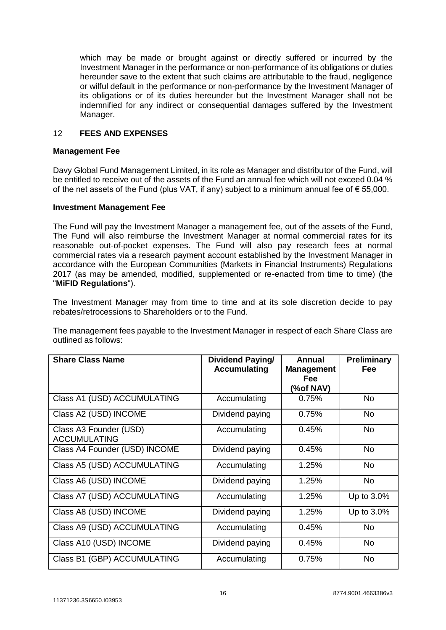which may be made or brought against or directly suffered or incurred by the Investment Manager in the performance or non-performance of its obligations or duties hereunder save to the extent that such claims are attributable to the fraud, negligence or wilful default in the performance or non-performance by the Investment Manager of its obligations or of its duties hereunder but the Investment Manager shall not be indemnified for any indirect or consequential damages suffered by the Investment Manager.

#### <span id="page-15-0"></span>12 **FEES AND EXPENSES**

#### **Management Fee**

Davy Global Fund Management Limited, in its role as Manager and distributor of the Fund, will be entitled to receive out of the assets of the Fund an annual fee which will not exceed 0.04 % of the net assets of the Fund (plus VAT, if any) subject to a minimum annual fee of  $\epsilon$  55,000.

#### **Investment Management Fee**

The Fund will pay the Investment Manager a management fee, out of the assets of the Fund, The Fund will also reimburse the Investment Manager at normal commercial rates for its reasonable out-of-pocket expenses. The Fund will also pay research fees at normal commercial rates via a research payment account established by the Investment Manager in accordance with the European Communities (Markets in Financial Instruments) Regulations 2017 (as may be amended, modified, supplemented or re-enacted from time to time) (the "**MiFID Regulations**").

The Investment Manager may from time to time and at its sole discretion decide to pay rebates/retrocessions to Shareholders or to the Fund.

The management fees payable to the Investment Manager in respect of each Share Class are outlined as follows:

| <b>Share Class Name</b>                       | <b>Dividend Paying/</b><br><b>Accumulating</b> | Annual<br><b>Management</b> | <b>Preliminary</b><br><b>Fee</b> |
|-----------------------------------------------|------------------------------------------------|-----------------------------|----------------------------------|
|                                               |                                                | <b>Fee</b><br>(%of NAV)     |                                  |
| Class A1 (USD) ACCUMULATING                   | Accumulating                                   | 0.75%                       | No.                              |
| Class A2 (USD) INCOME                         | Dividend paying                                | 0.75%                       | <b>No</b>                        |
| Class A3 Founder (USD)<br><b>ACCUMULATING</b> | Accumulating                                   | 0.45%                       | No.                              |
| Class A4 Founder (USD) INCOME                 | Dividend paying                                | 0.45%                       | <b>No</b>                        |
| Class A5 (USD) ACCUMULATING                   | Accumulating                                   | 1.25%                       | No.                              |
| Class A6 (USD) INCOME                         | Dividend paying                                | 1.25%                       | <b>No</b>                        |
| Class A7 (USD) ACCUMULATING                   | Accumulating                                   | 1.25%                       | Up to 3.0%                       |
| Class A8 (USD) INCOME                         | Dividend paying                                | 1.25%                       | Up to 3.0%                       |
| Class A9 (USD) ACCUMULATING                   | Accumulating                                   | 0.45%                       | <b>No</b>                        |
| Class A10 (USD) INCOME                        | Dividend paying                                | 0.45%                       | <b>No</b>                        |
| Class B1 (GBP) ACCUMULATING                   | Accumulating                                   | 0.75%                       | No                               |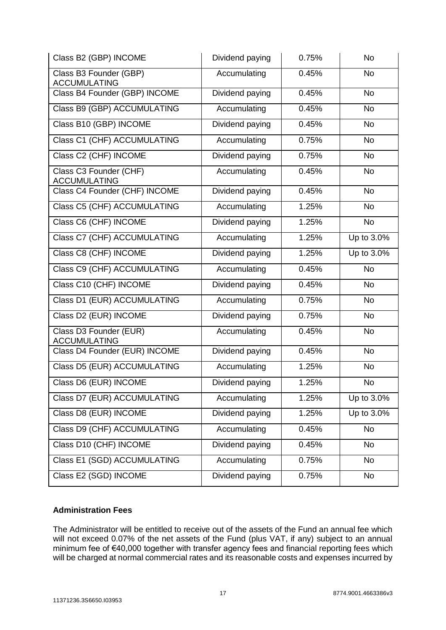| Class B2 (GBP) INCOME                         | Dividend paying | 0.75% | <b>No</b>  |
|-----------------------------------------------|-----------------|-------|------------|
| Class B3 Founder (GBP)<br><b>ACCUMULATING</b> | Accumulating    | 0.45% | <b>No</b>  |
| Class B4 Founder (GBP) INCOME                 | Dividend paying | 0.45% | <b>No</b>  |
| Class B9 (GBP) ACCUMULATING                   | Accumulating    | 0.45% | <b>No</b>  |
| Class B10 (GBP) INCOME                        | Dividend paying | 0.45% | <b>No</b>  |
| Class C1 (CHF) ACCUMULATING                   | Accumulating    | 0.75% | <b>No</b>  |
| Class C2 (CHF) INCOME                         | Dividend paying | 0.75% | <b>No</b>  |
| Class C3 Founder (CHF)<br><b>ACCUMULATING</b> | Accumulating    | 0.45% | No         |
| Class C4 Founder (CHF) INCOME                 | Dividend paying | 0.45% | <b>No</b>  |
| <b>Class C5 (CHF) ACCUMULATING</b>            | Accumulating    | 1.25% | <b>No</b>  |
| Class C6 (CHF) INCOME                         | Dividend paying | 1.25% | <b>No</b>  |
| Class C7 (CHF) ACCUMULATING                   | Accumulating    | 1.25% | Up to 3.0% |
| Class C8 (CHF) INCOME                         | Dividend paying | 1.25% | Up to 3.0% |
| Class C9 (CHF) ACCUMULATING                   | Accumulating    | 0.45% | <b>No</b>  |
| Class C10 (CHF) INCOME                        | Dividend paying | 0.45% | <b>No</b>  |
| Class D1 (EUR) ACCUMULATING                   | Accumulating    | 0.75% | <b>No</b>  |
| Class D2 (EUR) INCOME                         | Dividend paying | 0.75% | <b>No</b>  |
| Class D3 Founder (EUR)<br><b>ACCUMULATING</b> | Accumulating    | 0.45% | <b>No</b>  |
| Class D4 Founder (EUR) INCOME                 | Dividend paying | 0.45% | <b>No</b>  |
| Class D5 (EUR) ACCUMULATING                   | Accumulating    | 1.25% | <b>No</b>  |
| Class D6 (EUR) INCOME                         | Dividend paying | 1.25% | <b>No</b>  |
| Class D7 (EUR) ACCUMULATING                   | Accumulating    | 1.25% | Up to 3.0% |
| Class D8 (EUR) INCOME                         | Dividend paying | 1.25% | Up to 3.0% |
| Class D9 (CHF) ACCUMULATING                   | Accumulating    | 0.45% | <b>No</b>  |
| Class D10 (CHF) INCOME                        | Dividend paying | 0.45% | No         |
| Class E1 (SGD) ACCUMULATING                   | Accumulating    | 0.75% | <b>No</b>  |
| Class E2 (SGD) INCOME                         | Dividend paying | 0.75% | <b>No</b>  |

#### **Administration Fees**

The Administrator will be entitled to receive out of the assets of the Fund an annual fee which will not exceed 0.07% of the net assets of the Fund (plus VAT, if any) subject to an annual minimum fee of €40,000 together with transfer agency fees and financial reporting fees which will be charged at normal commercial rates and its reasonable costs and expenses incurred by